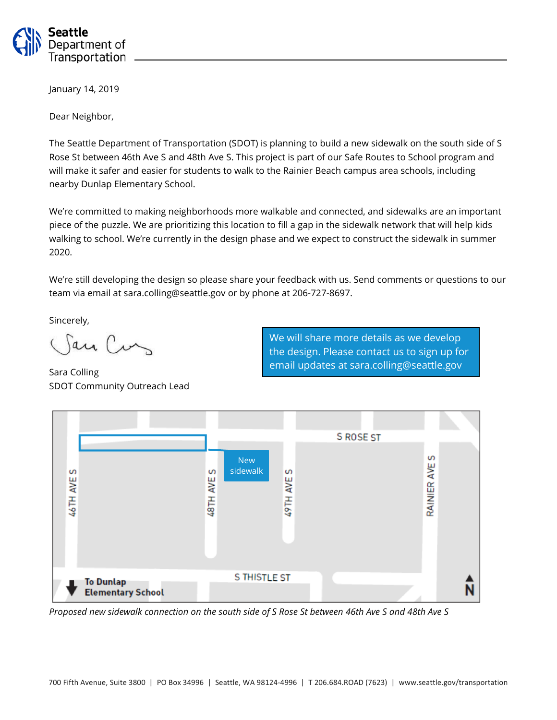

January 14, 2019

Dear Neighbor,

The Seattle Department of Transportation (SDOT) is planning to build a new sidewalk on the south side of S Rose St between 46th Ave S and 48th Ave S. This project is part of our Safe Routes to School program and will make it safer and easier for students to walk to the Rainier Beach campus area schools, including nearby Dunlap Elementary School.

We're committed to making neighborhoods more walkable and connected, and sidewalks are an important piece of the puzzle. We are prioritizing this location to fill a gap in the sidewalk network that will help kids walking to school. We're currently in the design phase and we expect to construct the sidewalk in summer 2020.

We're still developing the design so please share your feedback with us. Send comments or questions to our team via email at sara.colling@seattle.gov or by phone at 206-727-8697.

Sincerely,

San Curs

Sara Colling SDOT Community Outreach Lead

We will share more details as we develop the design. Please contact us to sign up for email updates at sara.colling@seattle.gov



*Proposed new sidewalk connection on the south side of S Rose St between 46th Ave S and 48th Ave S*